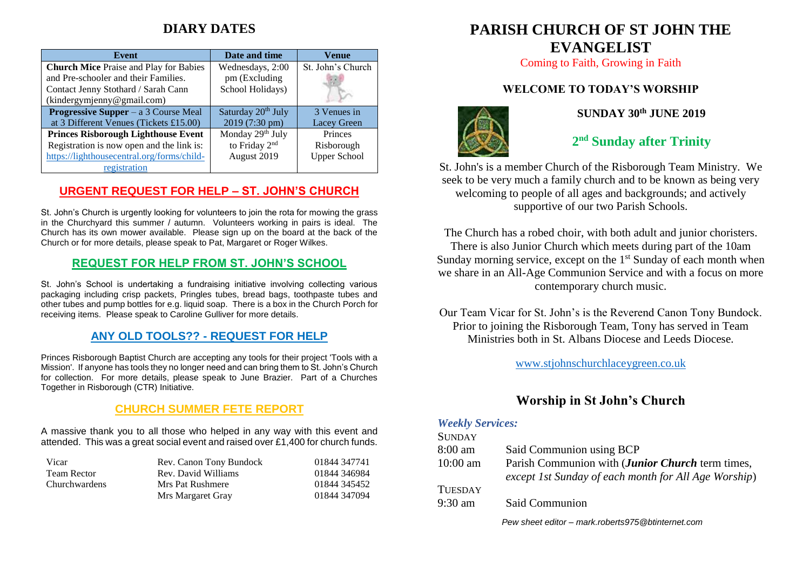# **DIARY DATES**

| Event                                         | Date and time                  | Venue               |
|-----------------------------------------------|--------------------------------|---------------------|
| <b>Church Mice Praise and Play for Babies</b> | Wednesdays, 2:00               | St. John's Church   |
| and Pre-schooler and their Families.          | pm (Excluding                  |                     |
| Contact Jenny Stothard / Sarah Cann           | School Holidays)               |                     |
| (kindergymjenny@gmail.com)                    |                                |                     |
| <b>Progressive Supper</b> – a 3 Course Meal   | Saturday 20 <sup>th</sup> July | 3 Venues in         |
| at 3 Different Venues (Tickets £15.00)        | 2019 (7:30 pm)                 | Lacey Green         |
| <b>Princes Risborough Lighthouse Event</b>    | Monday 29th July               | Princes             |
| Registration is now open and the link is:     | to Friday 2 <sup>nd</sup>      | Risborough          |
| https://lighthousecentral.org/forms/child-    | August 2019                    | <b>Upper School</b> |
| registration                                  |                                |                     |

#### **URGENT REQUEST FOR HELP – ST. JOHN'S CHURCH**

St. John's Church is urgently looking for volunteers to join the rota for mowing the grass in the Churchyard this summer / autumn. Volunteers working in pairs is ideal. The Church has its own mower available. Please sign up on the board at the back of the Church or for more details, please speak to Pat, Margaret or Roger Wilkes.

#### **REQUEST FOR HELP FROM ST. JOHN'S SCHOOL**

St. John's School is undertaking a fundraising initiative involving collecting various packaging including crisp packets, Pringles tubes, bread bags, toothpaste tubes and other tubes and pump bottles for e.g. liquid soap. There is a box in the Church Porch for receiving items. Please speak to Caroline Gulliver for more details.

### **ANY OLD TOOLS?? - REQUEST FOR HELP**

Princes Risborough Baptist Church are accepting any tools for their project 'Tools with a Mission'. If anyone has tools they no longer need and can bring them to St. John's Church for collection. For more details, please speak to June Brazier. Part of a Churches Together in Risborough (CTR) Initiative.

### **CHURCH SUMMER FETE REPORT**

A massive thank you to all those who helped in any way with this event and attended. This was a great social event and raised over £1,400 for church funds.

| Vicar                | Rev. Canon Tony Bundock | 01844 347741 |
|----------------------|-------------------------|--------------|
| Team Rector          | Rev. David Williams     | 01844 346984 |
| <b>Churchwardens</b> | Mrs Pat Rushmere        | 01844 345452 |
|                      | Mrs Margaret Gray       | 01844 347094 |

# **PARISH CHURCH OF ST JOHN THE EVANGELIST**

Coming to Faith, Growing in Faith

# **WELCOME TO TODAY'S WORSHIP**



### **SUNDAY 30th JUNE 2019**

# **2 nd Sunday after Trinity**

St. John's is a member Church of the Risborough Team Ministry. We seek to be very much a family church and to be known as being very welcoming to people of all ages and backgrounds; and actively supportive of our two Parish Schools.

The Church has a robed choir, with both adult and junior choristers. There is also Junior Church which meets during part of the 10am Sunday morning service, except on the  $1<sup>st</sup>$  Sunday of each month when we share in an All-Age Communion Service and with a focus on more contemporary church music.

Our Team Vicar for St. John's is the Reverend Canon Tony Bundock. Prior to joining the Risborough Team, Tony has served in Team Ministries both in St. Albans Diocese and Leeds Diocese.

[www.stjohnschurchlaceygreen.co.uk](http://www.stjohnschurchlaceygreen.co.uk/)

# **Worship in St John's Church**

#### *Weekly Services:*

| <b>SUNDAY</b>     |                                                                                                          |
|-------------------|----------------------------------------------------------------------------------------------------------|
| $8:00 \text{ am}$ | Said Communion using BCP                                                                                 |
| $10:00$ am        | Parish Communion with (Junior Church term times,<br>except 1st Sunday of each month for All Age Worship) |
| <b>TUESDAY</b>    |                                                                                                          |
| $9:30 \text{ am}$ | Said Communion                                                                                           |
|                   | Pew sheet editor - mark.roberts975@btinternet.com                                                        |